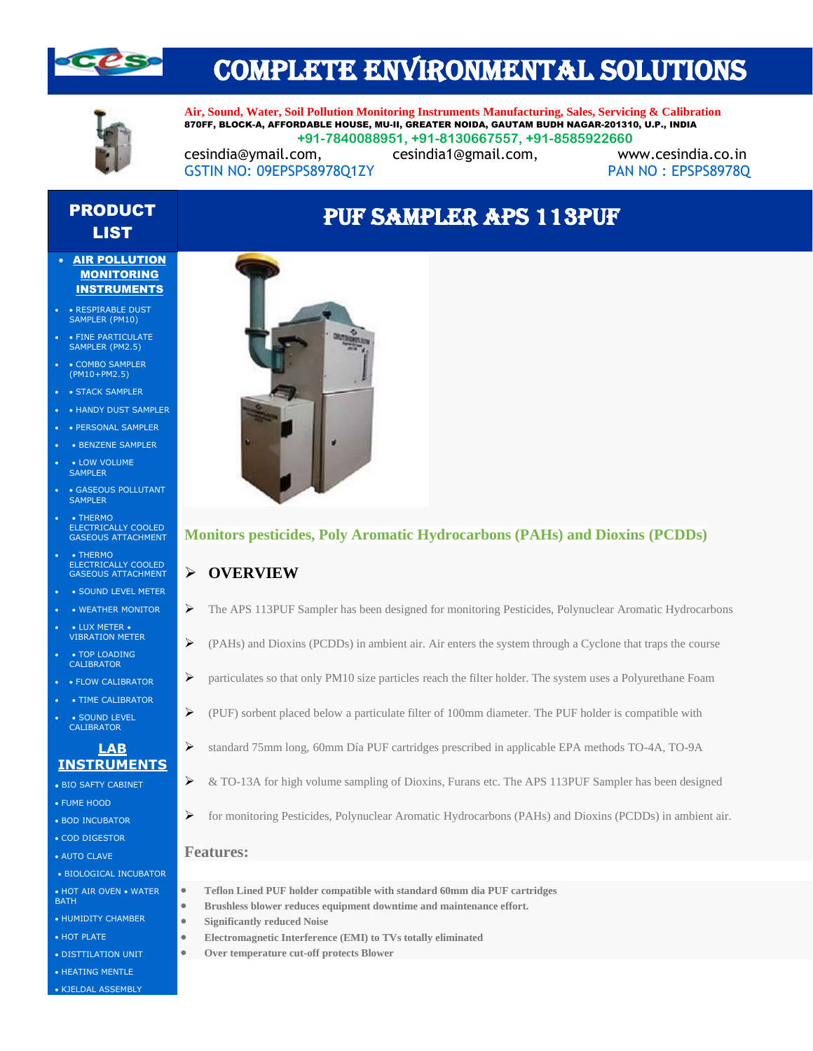

# COMPLETE ENVIRONMENTAL SOLUTIONS



**Air, Sound, Water, Soil Pollution Monitoring Instruments Manufacturing, Sales, Servicing & Calibration** 870FF, BLOCK-A, AFFORDABLE HOUSE, MU-II, GREATER NOIDA, GAUTAM BUDH NAGAR-201310, U.P., INDIA  **+91-7840088951, +91-8130667557, +91-8585922660** [cesindia@ymail.com,](mailto:cesindia@ymail.com) [cesindia1@gmail.com,](mailto:cesindia1@gmail.com) [www.cesindia.co.in](http://www.cesindia.co.in/) 

PUF SAMPLER APS 113PUF

GSTIN NO: 09EPSPS8978Q1ZY PAN NO : EPSPS8978Q

## PRODUCT LIST

#### • AIR POLLUTION MONITORING **INSTRUMENTS**

- • RESPIRABLE DUST SAMPLER (PM10)
- FINE PARTICULATE SAMPLER (PM2.5)
- COMBO SAMPLER (PM10+PM2.5)
- STACK SAMPLER
- HANDY DUST SAMPLER
- • PERSONAL SAMPLER
- BENZENE SAMPLER
- LOW VOLUME SAMPLER
- GASEOUS POLLUTANT SAMPLER
- THERMO ELECTRICALLY COOLED GASEOUS ATTACHMENT
- • THERMO ELECTRICALLY COOLED GASEOUS ATTACHMENT
- SOUND LEVEL METER
- WEATHER MONITOR • LUX METER •
- VIBRATION METER
- TOP LOADING CALIBRATOR
- • FLOW CALIBRATOR
- TIME CALIBRATOR • SOUND LEVEL CALIBRATOR

## **LAB INSTRUMENTS**

- BIO SAFTY CABINET
- FUME HOOD
- BOD INCUBATOR • COD DIGESTOR
- AUTO CLAVE
- BIOLOGICAL INCUBATOR
- HOT AIR OVEN WATER
- BATH
- HUMIDITY CHAMBER
- HOT PLATE
- DISTTILATION UNIT
- HEATING MENTLE • KJELDAL ASSEMBLY



## **Monitors pesticides, Poly Aromatic Hydrocarbons (PAHs) and Dioxins (PCDDs)**

## ➢ **OVERVIEW**

- ➢ The APS 113PUF Sampler has been designed for monitoring Pesticides, Polynuclear Aromatic Hydrocarbons
- $\triangleright$  (PAHs) and Dioxins (PCDDs) in ambient air. Air enters the system through a Cyclone that traps the course
- ➢ particulates so that only PM10 size particles reach the filter holder. The system uses a Polyurethane Foam
- ➢ (PUF) sorbent placed below a particulate filter of 100mm diameter. The PUF holder is compatible with
- ➢ standard 75mm long, 60mm Día PUF cartridges prescribed in applicable EPA methods TO-4A, TO-9A
- ➢ & TO-13A for high volume sampling of Dioxins, Furans etc. The APS 113PUF Sampler has been designed
- ➢ for monitoring Pesticides, Polynuclear Aromatic Hydrocarbons (PAHs) and Dioxins (PCDDs) in ambient air.

#### **Features:**

- **Teflon Lined PUF holder compatible with standard 60mm dia PUF cartridges**
- **Brushless blower reduces equipment downtime and maintenance effort.**
- **Significantly reduced Noise**
- **Electromagnetic Interference (EMI) to TVs totally eliminated**
- **Over temperature cut-off protects Blower**